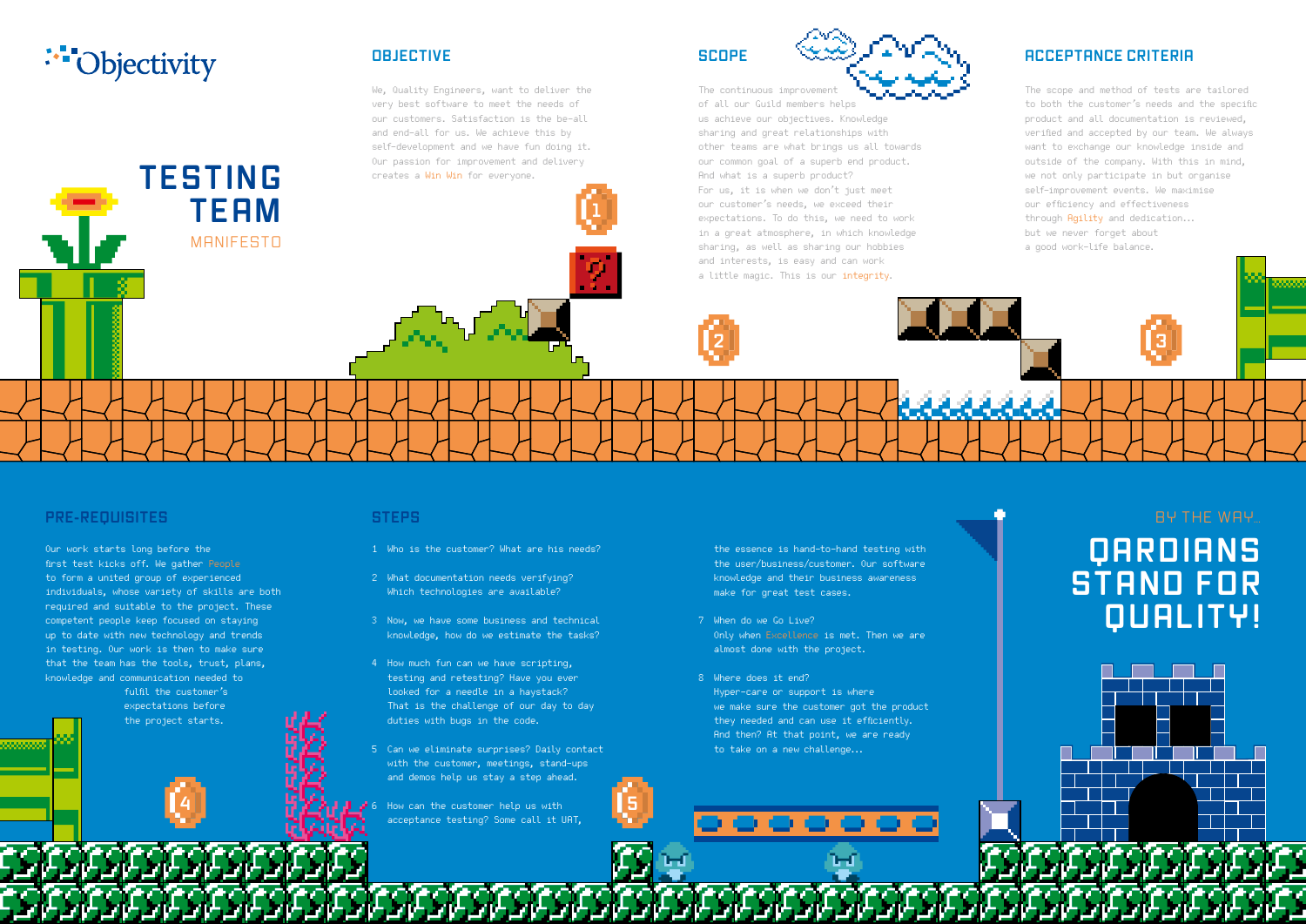# .<sup>\*\*</sup>Objectivity

**TESTING**

**TEAM**

**MANIFESTO** 

### **OBJECTIVE**

We, Quality Engineers, want to deliver the very best software to meet the needs of our customers. Satisfaction is the be-all and end-all for us. We achieve this by self-development and we have fun doing it. Our passion for improvement and delivery creates a Win Win for everyone.

### **SCOPE**



of all our Guild members helps us achieve our objectives. Knowledge sharing and great relationships with other teams are what brings us all towards our common goal of a superb end product. And what is a superb product? For us, it is when we don't just meet our customer's needs, we exceed their expectations. To do this, we need to work in a great atmosphere, in which knowledge sharing, as well as sharing our hobbies and interests, is easy and can work a little magic. This is our integrity.

#### **ACCEPTANCE CRITERIA**

The scope and method of tests are tailored to both the customer's needs and the specific product and all documentation is reviewed, verified and accepted by our team. We always want to exchange our knowledge inside and outside of the company. With this in mind, we not only participate in but organise self-improvement events. We maximise our efficiency and effectiveness through Agility and dedication... but we never forget about a good work-life balance.

#### **PRE-REQUISITES**

888888888

Our work starts long before the first test kicks off. We gather People to form a united group of experienced individuals, whose variety of skills are both required and suitable to the project. These competent people keep focused on staying up to date with new technology and trends in testing. Our work is then to make sure that the team has the tools, trust, plans, knowledge and communication needed to

> fulfil the customer's expectations before the project starts.

#### **STEPS**

- 1 Who is the customer? What are his needs?
- 2 What documentation needs verifying? Which technologies are available?
- 3 Now, we have some business and technical knowledge, how do we estimate the tasks?
- 4 How much fun can we have scripting, testing and retesting? Have you ever looked for a needle in a haystack? That is the challenge of our day to day duties with bugs in the code.
- 5 Can we eliminate surprises? Daily contact with the customer, meetings, stand-ups and demos help us stay a step ahead.
- $\mathbf{A}$  **6** How can the customer help us with **5** acceptance testing? Some call it UAT,

the essence is hand-to-hand testing with the user/business/customer. Our software knowledge and their business awareness make for great test cases.

- 7 When do we Go Live? Only when Excellence is met. Then we are almost done with the project.
- 8 Where does it end? Hyper-care or support is where we make sure the customer got the product they needed and can use it efficiently. And then? At that point, we are ready to take on a new challenge...

## **QARDIANS S T AND F OR QUALITY!** BY THE WAY…

**1**